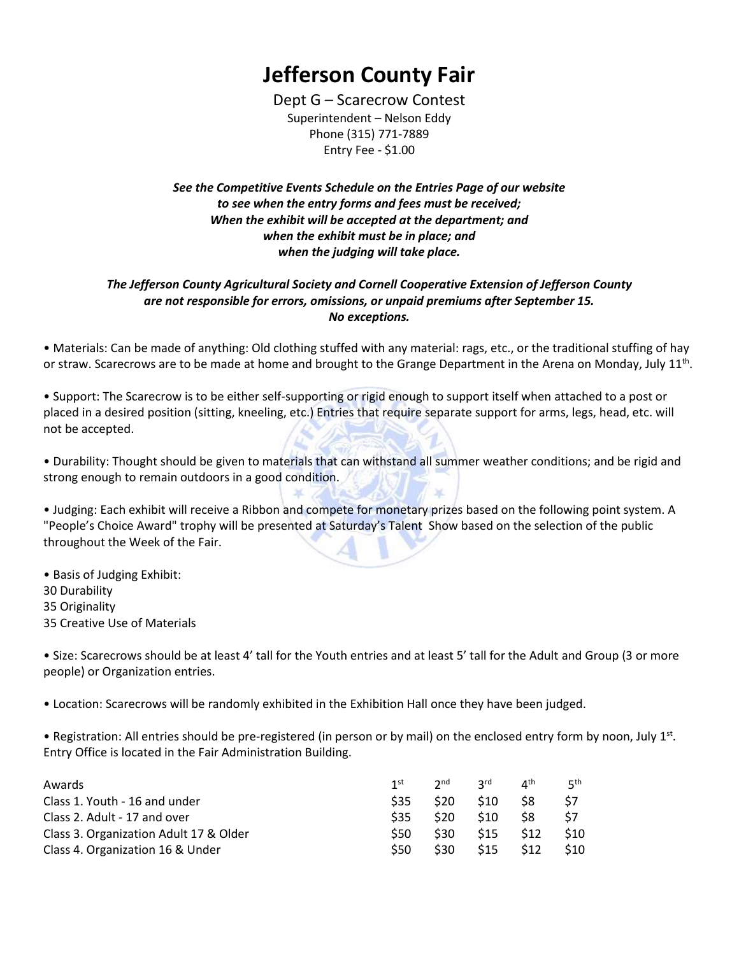## **Jefferson County Fair**

Dept G – Scarecrow Contest Superintendent – Nelson Eddy Phone (315) 771-7889 Entry Fee - \$1.00

*See the Competitive Events Schedule on the Entries Page of our website to see when the entry forms and fees must be received; When the exhibit will be accepted at the department; and when the exhibit must be in place; and when the judging will take place.*

## *The Jefferson County Agricultural Society and Cornell Cooperative Extension of Jefferson County are not responsible for errors, omissions, or unpaid premiums after September 15. No exceptions.*

• Materials: Can be made of anything: Old clothing stuffed with any material: rags, etc., or the traditional stuffing of hay or straw. Scarecrows are to be made at home and brought to the Grange Department in the Arena on Monday, July 11<sup>th</sup>.

• Support: The Scarecrow is to be either self-supporting or rigid enough to support itself when attached to a post or placed in a desired position (sitting, kneeling, etc.) Entries that require separate support for arms, legs, head, etc. will not be accepted.

• Durability: Thought should be given to materials that can withstand all summer weather conditions; and be rigid and strong enough to remain outdoors in a good condition.

• Judging: Each exhibit will receive a Ribbon and compete for monetary prizes based on the following point system. A "People's Choice Award" trophy will be presented at Saturday's Talent Show based on the selection of the public throughout the Week of the Fair.

• Basis of Judging Exhibit: 30 Durability 35 Originality 35 Creative Use of Materials

• Size: Scarecrows should be at least 4' tall for the Youth entries and at least 5' tall for the Adult and Group (3 or more people) or Organization entries.

• Location: Scarecrows will be randomly exhibited in the Exhibition Hall once they have been judged.

• Registration: All entries should be pre-registered (in person or by mail) on the enclosed entry form by noon, July 1st. Entry Office is located in the Fair Administration Building.

| Awards                                 | 1 <sup>st</sup> | $2^{\text{nd}}$ | <b>2rd</b>      | $\mathbf{\Lambda}^{\text{th}}$ | цth. |
|----------------------------------------|-----------------|-----------------|-----------------|--------------------------------|------|
| Class 1. Youth - 16 and under          | S35             | <b>S20</b>      | S <sub>10</sub> | S8                             | S7   |
| Class 2. Adult - 17 and over           | S35             | <b>S20</b>      | S <sub>10</sub> | -S8                            | S7   |
| Class 3. Organization Adult 17 & Older | <b>S50</b>      | \$30            | \$15            | S12                            | \$10 |
| Class 4. Organization 16 & Under       | <b>S50</b>      | \$30            | \$15            | \$12                           | \$10 |